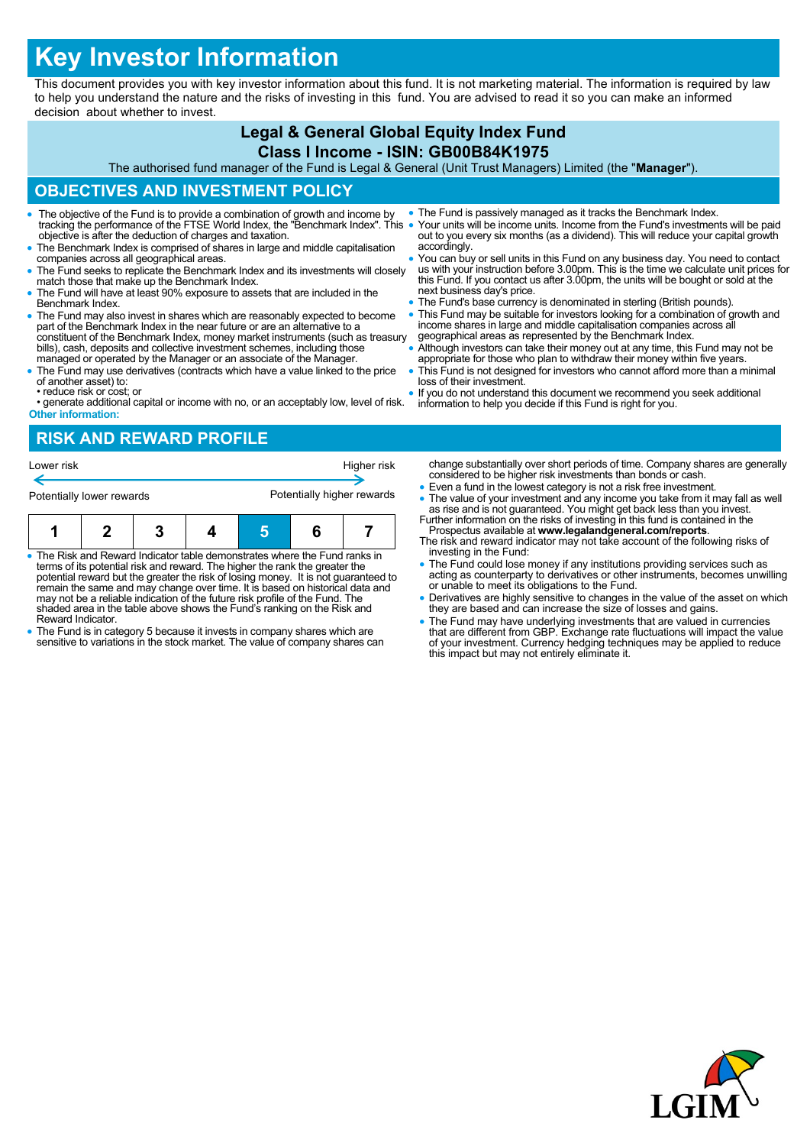# **Key Investor Information**

This document provides you with key investor information about this fund. It is not marketing material. The information is required by law to help you understand the nature and the risks of investing in this fund. You are advised to read it so you can make an informed decision about whether to invest.

#### **Legal & General Global Equity Index Fund Class I Income - ISIN: GB00B84K1975** The authorised fund manager of the Fund is Legal & General (Unit Trust Managers) Limited (the "**Manager**"). **OBJECTIVES AND INVESTMENT POLICY** The objective of the Fund is to provide a combination of growth and income by tracking the performance of the FTSE World Index, the "Benchmark Index". This objective is after the deduction of charges and taxation. The Benchmark Index is comprised of shares in large and middle capitalisation companies across all geographical areas. The Fund seeks to replicate the Benchmark Index and its investments will closely match those that make up the Benchmark Index. The Fund will have at least 90% exposure to assets that are included in the Benchmark Index. The Fund is passively managed as it tracks the Benchmark Index. Your units will be income units. Income from the Fund's investments will be paid out to you every six months (as a dividend). This will reduce your capital growth accordingly. • You can buy or sell units in this Fund on any business day. You need to contact us with your instruction before 3.00pm. This is the time we calculate unit prices for this Fund. If you contact us after 3.00pm, the units w next business day's price. • The Fund's base currency is denominated in sterling (British pounds).

- The Fund may also invest in shares which are reasonably expected to become part of the Benchmark Index in the near future or are an alternative to a constituent of the Benchmark Index, money market instruments (such as treasury bills), cash, deposits and collective investment schemes, including those managed or operated by the Manager or an associate of the Manager.
- The Fund may use derivatives (contracts which have a value linked to the price of another asset) to: • reduce risk or cost; or
- generate additional capital or income with no, or an acceptably low, level of risk. **Other information:**
- 
- This Fund may be suitable for investors looking for a combination of growth and income shares in large and middle capitalisation companies across all geographical areas as represented by the Benchmark Index.
- Although investors can take their money out at any time, this Fund may not be
- appropriate for those who plan to withdraw their money within five years. This Fund is not designed for investors who cannot afford more than a minimal loss of their investment.
- If you do not understand this document we recommend you seek additional information to help you decide if this Fund is right for you.

## **RISK AND REWARD PROFILE**

| Lower risk<br>Potentially lower rewards |                                                                                                                                                                                                                                                                                                                                                               |  |  | Higher risk<br>Potentially higher rewards |  |  | change substantially over short periods of time. Company shares are generally<br>considered to be higher risk investments than bonds or cash.<br>• Even a fund in the lowest category is not a risk free investment.<br>• The value of your investment and any income you take from it may fall as well<br>as rise and is not guaranteed. You might get back less than you invest. |
|-----------------------------------------|---------------------------------------------------------------------------------------------------------------------------------------------------------------------------------------------------------------------------------------------------------------------------------------------------------------------------------------------------------------|--|--|-------------------------------------------|--|--|------------------------------------------------------------------------------------------------------------------------------------------------------------------------------------------------------------------------------------------------------------------------------------------------------------------------------------------------------------------------------------|
|                                         |                                                                                                                                                                                                                                                                                                                                                               |  |  |                                           |  |  | Further information on the risks of investing in this fund is contained in the<br>Prospectus available at www.legalandgeneral.com/reports.<br>The risk and reward indicator may not take account of the following risks of                                                                                                                                                         |
|                                         | • The Risk and Reward Indicator table demonstrates where the Fund ranks in<br>terms of its potential risk and reward. The higher the rank the greater the<br>potential reward but the greater the risk of losing money. It is not guaranteed to<br>remain the same and may change over time. It is based on historical data and<br>$\cdots$ $\cdots$ $\cdots$ |  |  |                                           |  |  | investing in the Fund:<br>• The Fund could lose money if any institutions providing services such as<br>acting as counterparty to derivatives or other instruments, becomes unwilling<br>or unable to meet its obligations to the Fund.<br>■ controllered and letable condition to allow the the trainer relation of the conduct and relation                                      |

- Derivatives are highly sensitive to changes in the value of the asset on which they are based and can increase the size of losses and gains.
- The Fund may have underlying investments that are valued in currencies<br>that are different from GBP. Exchange rate fluctuations will impact the value<br>of your investment. Currency hedging techniques may be applied to reduc
- may not be a reliable indication of the future risk profile of the Fund. The shaded area in the table above shows the Fund's ranking on the Risk and Reward Indicator.
- The Fund is in category 5 because it invests in company shares which are sensitive to variations in the stock market. The value of company shares can